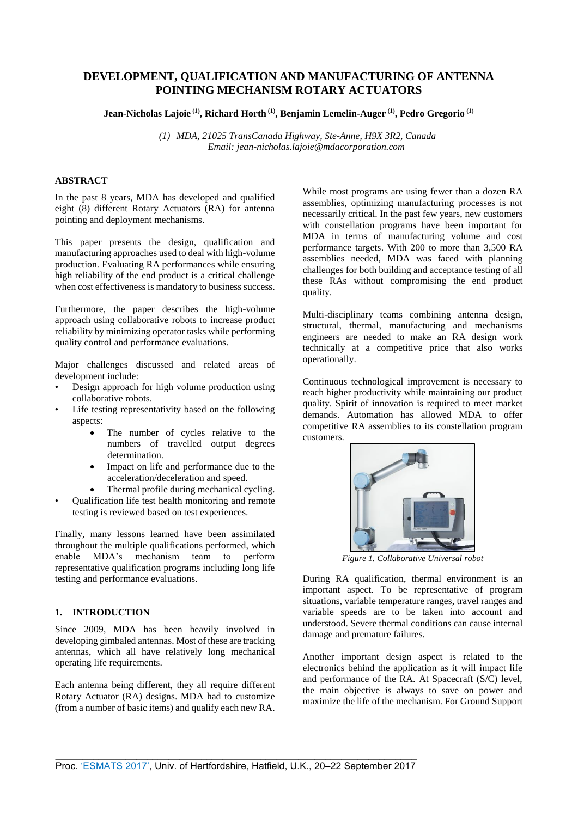# **DEVELOPMENT, QUALIFICATION AND MANUFACTURING OF ANTENNA POINTING MECHANISM ROTARY ACTUATORS**

**Jean-Nicholas Lajoie (1) , Richard Horth (1) , Benjamin Lemelin-Auger (1) , Pedro Gregorio (1)**

*(1) MDA, 21025 TransCanada Highway, Ste-Anne, H9X 3R2, Canada Email: jean-nicholas.lajoie@mdacorporation.com* 

## **ABSTRACT**

In the past 8 years, MDA has developed and qualified eight (8) different Rotary Actuators (RA) for antenna pointing and deployment mechanisms.

This paper presents the design, qualification and manufacturing approaches used to deal with high-volume production. Evaluating RA performances while ensuring high reliability of the end product is a critical challenge when cost effectiveness is mandatory to business success.

Furthermore, the paper describes the high-volume approach using collaborative robots to increase product reliability by minimizing operator tasks while performing quality control and performance evaluations.

Major challenges discussed and related areas of development include:

- Design approach for high volume production using collaborative robots.
- Life testing representativity based on the following aspects:
	- The number of cycles relative to the numbers of travelled output degrees determination.
	- Impact on life and performance due to the acceleration/deceleration and speed.
	- Thermal profile during mechanical cycling.
- Qualification life test health monitoring and remote testing is reviewed based on test experiences.

Finally, many lessons learned have been assimilated throughout the multiple qualifications performed, which enable MDA's mechanism team to perform representative qualification programs including long life testing and performance evaluations.

#### **1. INTRODUCTION**

Since 2009, MDA has been heavily involved in developing gimbaled antennas. Most of these are tracking antennas, which all have relatively long mechanical operating life requirements.

Each antenna being different, they all require different Rotary Actuator (RA) designs. MDA had to customize (from a number of basic items) and qualify each new RA. While most programs are using fewer than a dozen RA assemblies, optimizing manufacturing processes is not necessarily critical. In the past few years, new customers with constellation programs have been important for MDA in terms of manufacturing volume and cost performance targets. With 200 to more than 3,500 RA assemblies needed, MDA was faced with planning challenges for both building and acceptance testing of all these RAs without compromising the end product quality.

Multi-disciplinary teams combining antenna design, structural, thermal, manufacturing and mechanisms engineers are needed to make an RA design work technically at a competitive price that also works operationally.

Continuous technological improvement is necessary to reach higher productivity while maintaining our product quality. Spirit of innovation is required to meet market demands. Automation has allowed MDA to offer competitive RA assemblies to its constellation program customers.



*Figure 1. Collaborative Universal robot* 

During RA qualification, thermal environment is an important aspect. To be representative of program situations, variable temperature ranges, travel ranges and variable speeds are to be taken into account and understood. Severe thermal conditions can cause internal damage and premature failures.

Another important design aspect is related to the electronics behind the application as it will impact life and performance of the RA. At Spacecraft (S/C) level, the main objective is always to save on power and maximize the life of the mechanism. For Ground Support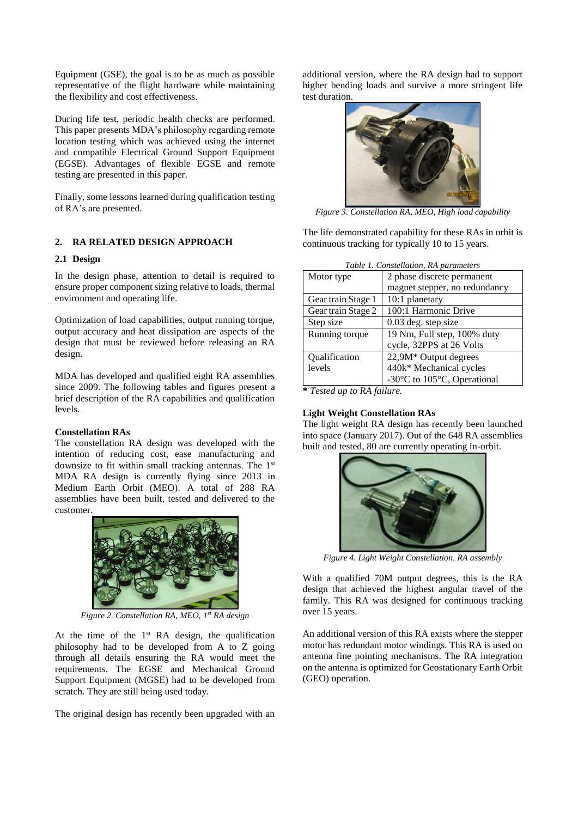Equipment (GSE), the goal is to be as much as possible representative of the flight hardware while maintaining the flexibility and cost effectiveness.

During life test, periodic health checks are performed. This paper presents MDA's philosophy regarding remote location testing which was achieved using the internet and compatible Electrical Ground Support Equipment (EGSE). Advantages of flexible EGSE and remote testing are presented in this paper.

Finally, some lessons learned during qualification testing of RA's are presented.

## **2. RA RELATED DESIGN APPROACH**

#### **2.1 Design**

In the design phase, attention to detail is required to ensure proper component sizing relative to loads, thermal environment and operating life.

Optimization of load capabilities, output running torque, output accuracy and heat dissipation are aspects of the design that must be reviewed before releasing an RA design.

MDA has developed and qualified eight RA assemblies since 2009. The following tables and figures present a brief description of the RA capabilities and qualification levels.

#### **Constellation RAs**

The constellation RA design was developed with the intention of reducing cost, ease manufacturing and downsize to fit within small tracking antennas. The 1st MDA RA design is currently flying since 2013 in Medium Earth Orbit (MEO). A total of 288 RA assemblies have been built, tested and delivered to the customer.



*Figure 2. Constellation RA, MEO, 1 st RA design*

At the time of the  $1<sup>st</sup> RA$  design, the qualification philosophy had to be developed from A to Z going through all details ensuring the RA would meet the requirements. The EGSE and Mechanical Ground Support Equipment (MGSE) had to be developed from scratch. They are still being used today.

The original design has recently been upgraded with an

additional version, where the RA design had to support higher bending loads and survive a more stringent life test duration.



*Figure 3. Constellation RA, MEO, High load capability*

The life demonstrated capability for these RAs in orbit is continuous tracking for typically 10 to 15 years.

| Table 1. Constellation, RA parameters |                               |  |
|---------------------------------------|-------------------------------|--|
| Motor type                            | 2 phase discrete permanent    |  |
|                                       | magnet stepper, no redundancy |  |
| Gear train Stage 1                    | 10:1 planetary                |  |
| Gear train Stage 2                    | 100:1 Harmonic Drive          |  |
| Step size                             | $0.03$ deg. step size         |  |
| Running torque                        | 19 Nm, Full step, 100% duty   |  |
|                                       | cycle, 32PPS at 26 Volts      |  |
| Qualification                         | 22,9M* Output degrees         |  |
| levels                                | 440k* Mechanical cycles       |  |
|                                       | -30°C to 105°C, Operational   |  |

**\*** *Tested up to RA failure.*

#### **Light Weight Constellation RAs**

The light weight RA design has recently been launched into space (January 2017). Out of the 648 RA assemblies built and tested, 80 are currently operating in-orbit.



*Figure 4. Light Weight Constellation, RA assembly*

With a qualified 70M output degrees, this is the RA design that achieved the highest angular travel of the family. This RA was designed for continuous tracking over 15 years.

An additional version of this RA exists where the stepper motor has redundant motor windings. This RA is used on antenna fine pointing mechanisms. The RA integration on the antenna is optimized for Geostationary Earth Orbit (GEO) operation.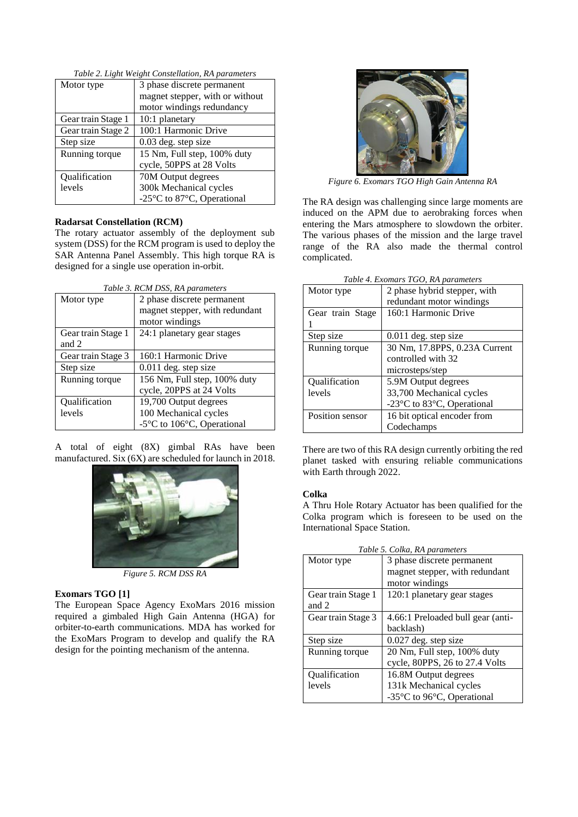| Motor type         | 3 phase discrete permanent      |
|--------------------|---------------------------------|
|                    | magnet stepper, with or without |
|                    | motor windings redundancy       |
| Gear train Stage 1 | 10:1 planetary                  |
| Gear train Stage 2 | 100:1 Harmonic Drive            |
| Step size          | 0.03 deg. step size             |
| Running torque     | 15 Nm, Full step, 100% duty     |
|                    | cycle, 50PPS at 28 Volts        |
| Qualification      | 70M Output degrees              |
| levels             | 300k Mechanical cycles          |
|                    | -25°C to 87°C, Operational      |

*Table 2. Light Weight Constellation, RA parameters*

#### **Radarsat Constellation (RCM)**

The rotary actuator assembly of the deployment sub system (DSS) for the RCM program is used to deploy the SAR Antenna Panel Assembly. This high torque RA is designed for a single use operation in-orbit.

| Table 3. RCM DSS, RA parameters |                                                           |  |
|---------------------------------|-----------------------------------------------------------|--|
| Motor type                      | 2 phase discrete permanent                                |  |
|                                 | magnet stepper, with redundant                            |  |
|                                 | motor windings                                            |  |
| Gear train Stage 1              | 24:1 planetary gear stages                                |  |
| and 2                           |                                                           |  |
| Gear train Stage 3              | 160:1 Harmonic Drive                                      |  |
| Step size                       | $0.011$ deg. step size                                    |  |
| Running torque                  | 156 Nm, Full step, 100% duty                              |  |
|                                 | cycle, 20PPS at 24 Volts                                  |  |
| <b>Oualification</b>            | 19,700 Output degrees                                     |  |
| levels                          | 100 Mechanical cycles                                     |  |
|                                 | -5 $\rm{^{\circ}C}$ to 106 $\rm{^{\circ}C}$ , Operational |  |

A total of eight (8X) gimbal RAs have been manufactured. Six (6X) are scheduled for launch in 2018.



*Figure 5. RCM DSS RA*

## **Exomars TGO [1]**

The European Space Agency ExoMars 2016 mission required a gimbaled High Gain Antenna (HGA) for orbiter-to-earth communications. MDA has worked for the ExoMars Program to develop and qualify the RA design for the pointing mechanism of the antenna.



*Figure 6. Exomars TGO High Gain Antenna RA*

The RA design was challenging since large moments are induced on the APM due to aerobraking forces when entering the Mars atmosphere to slowdown the orbiter. The various phases of the mission and the large travel range of the RA also made the thermal control complicated.

| Table 4. Exomars TGO, RA parameters |                               |  |
|-------------------------------------|-------------------------------|--|
| Motor type                          | 2 phase hybrid stepper, with  |  |
|                                     | redundant motor windings      |  |
| Gear train Stage                    | 160:1 Harmonic Drive          |  |
|                                     |                               |  |
| Step size                           | $0.011$ deg. step size        |  |
| Running torque                      | 30 Nm, 17.8PPS, 0.23A Current |  |
|                                     | controlled with 32            |  |
|                                     | microsteps/step               |  |
| Qualification                       | 5.9M Output degrees           |  |
| levels                              | 33,700 Mechanical cycles      |  |
|                                     | -23°C to 83°C, Operational    |  |
| Position sensor                     | 16 bit optical encoder from   |  |
|                                     | Codechamps                    |  |

There are two of this RA design currently orbiting the red planet tasked with ensuring reliable communications with Earth through 2022.

## **Colka**

A Thru Hole Rotary Actuator has been qualified for the Colka program which is foreseen to be used on the International Space Station.

| Table 5. Colka, RA parameters |                                   |  |
|-------------------------------|-----------------------------------|--|
| Motor type                    | 3 phase discrete permanent        |  |
|                               | magnet stepper, with redundant    |  |
|                               | motor windings                    |  |
| Gear train Stage 1            | 120:1 planetary gear stages       |  |
| and 2                         |                                   |  |
| Gear train Stage 3            | 4.66:1 Preloaded bull gear (anti- |  |
|                               | backlash)                         |  |
| Step size                     | 0.027 deg. step size              |  |
| Running torque                | 20 Nm, Full step, 100% duty       |  |
|                               | cycle, 80PPS, 26 to 27.4 Volts    |  |
| <b>Oualification</b>          | 16.8M Output degrees              |  |
| levels                        | 131k Mechanical cycles            |  |
|                               | -35°C to 96°C, Operational        |  |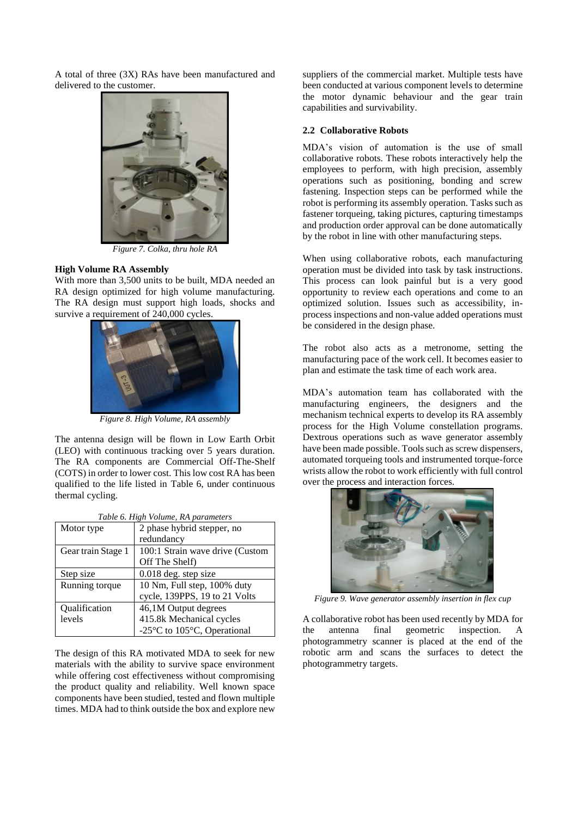A total of three (3X) RAs have been manufactured and delivered to the customer.



*Figure 7. Colka, thru hole RA*

## **High Volume RA Assembly**

With more than 3,500 units to be built, MDA needed an RA design optimized for high volume manufacturing. The RA design must support high loads, shocks and survive a requirement of 240,000 cycles.



*Figure 8. High Volume, RA assembly*

The antenna design will be flown in Low Earth Orbit (LEO) with continuous tracking over 5 years duration. The RA components are Commercial Off-The-Shelf (COTS) in order to lower cost. This low cost RA has been qualified to the life listed in [Table 6,](#page-3-0) under continuous thermal cycling.

<span id="page-3-0"></span>

| Table 6. High Volume, RA parameters |                                 |  |
|-------------------------------------|---------------------------------|--|
| Motor type                          | 2 phase hybrid stepper, no      |  |
|                                     | redundancy                      |  |
| Gear train Stage 1                  | 100:1 Strain wave drive (Custom |  |
|                                     | Off The Shelf)                  |  |
| Step size                           | 0.018 deg. step size            |  |
| Running torque                      | 10 Nm, Full step, 100% duty     |  |
|                                     | cycle, 139PPS, 19 to 21 Volts   |  |
| Qualification                       | 46,1M Output degrees            |  |
| levels                              | 415.8k Mechanical cycles        |  |
|                                     | -25°C to 105°C, Operational     |  |

The design of this RA motivated MDA to seek for new materials with the ability to survive space environment while offering cost effectiveness without compromising the product quality and reliability. Well known space components have been studied, tested and flown multiple times. MDA had to think outside the box and explore new

suppliers of the commercial market. Multiple tests have been conducted at various component levels to determine the motor dynamic behaviour and the gear train capabilities and survivability.

#### **2.2 Collaborative Robots**

MDA's vision of automation is the use of small collaborative robots. These robots interactively help the employees to perform, with high precision, assembly operations such as positioning, bonding and screw fastening. Inspection steps can be performed while the robot is performing its assembly operation. Tasks such as fastener torqueing, taking pictures, capturing timestamps and production order approval can be done automatically by the robot in line with other manufacturing steps.

When using collaborative robots, each manufacturing operation must be divided into task by task instructions. This process can look painful but is a very good opportunity to review each operations and come to an optimized solution. Issues such as accessibility, inprocess inspections and non-value added operations must be considered in the design phase.

The robot also acts as a metronome, setting the manufacturing pace of the work cell. It becomes easier to plan and estimate the task time of each work area.

MDA's automation team has collaborated with the manufacturing engineers, the designers and the mechanism technical experts to develop its RA assembly process for the High Volume constellation programs. Dextrous operations such as wave generator assembly have been made possible. Tools such as screw dispensers, automated torqueing tools and instrumented torque-force wrists allow the robot to work efficiently with full control over the process and interaction forces.



*Figure 9. Wave generator assembly insertion in flex cup*

A collaborative robot has been used recently by MDA for the antenna final geometric inspection. A photogrammetry scanner is placed at the end of the robotic arm and scans the surfaces to detect the photogrammetry targets.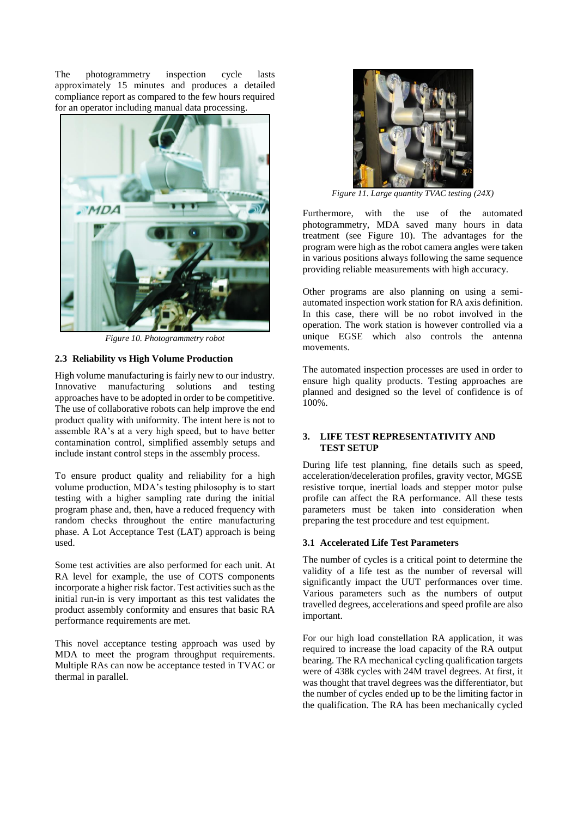The photogrammetry inspection cycle lasts approximately 15 minutes and produces a detailed compliance report as compared to the few hours required for an operator including manual data processing.



*Figure 10. Photogrammetry robot*

## <span id="page-4-0"></span>**2.3 Reliability vs High Volume Production**

High volume manufacturing is fairly new to our industry. Innovative manufacturing solutions and testing approaches have to be adopted in order to be competitive. The use of collaborative robots can help improve the end product quality with uniformity. The intent here is not to assemble RA's at a very high speed, but to have better contamination control, simplified assembly setups and include instant control steps in the assembly process.

To ensure product quality and reliability for a high volume production, MDA's testing philosophy is to start testing with a higher sampling rate during the initial program phase and, then, have a reduced frequency with random checks throughout the entire manufacturing phase. A Lot Acceptance Test (LAT) approach is being used.

Some test activities are also performed for each unit. At RA level for example, the use of COTS components incorporate a higher risk factor. Test activities such as the initial run-in is very important as this test validates the product assembly conformity and ensures that basic RA performance requirements are met.

This novel acceptance testing approach was used by MDA to meet the program throughput requirements. Multiple RAs can now be acceptance tested in TVAC or thermal in parallel.



*Figure 11. Large quantity TVAC testing (24X)*

Furthermore, with the use of the automated photogrammetry, MDA saved many hours in data treatment (see [Figure 10\)](#page-4-0). The advantages for the program were high as the robot camera angles were taken in various positions always following the same sequence providing reliable measurements with high accuracy.

Other programs are also planning on using a semiautomated inspection work station for RA axis definition. In this case, there will be no robot involved in the operation. The work station is however controlled via a unique EGSE which also controls the antenna movements.

The automated inspection processes are used in order to ensure high quality products. Testing approaches are planned and designed so the level of confidence is of 100%.

## **3. LIFE TEST REPRESENTATIVITY AND TEST SETUP**

During life test planning, fine details such as speed, acceleration/deceleration profiles, gravity vector, MGSE resistive torque, inertial loads and stepper motor pulse profile can affect the RA performance. All these tests parameters must be taken into consideration when preparing the test procedure and test equipment.

## **3.1 Accelerated Life Test Parameters**

The number of cycles is a critical point to determine the validity of a life test as the number of reversal will significantly impact the UUT performances over time. Various parameters such as the numbers of output travelled degrees, accelerations and speed profile are also important.

For our high load constellation RA application, it was required to increase the load capacity of the RA output bearing. The RA mechanical cycling qualification targets were of 438k cycles with 24M travel degrees. At first, it was thought that travel degrees was the differentiator, but the number of cycles ended up to be the limiting factor in the qualification. The RA has been mechanically cycled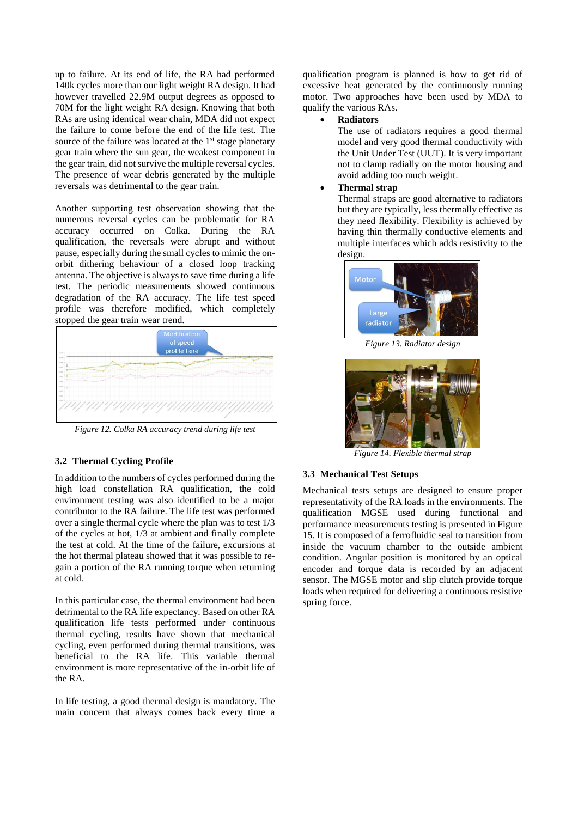up to failure. At its end of life, the RA had performed 140k cycles more than our light weight RA design. It had however travelled 22.9M output degrees as opposed to 70M for the light weight RA design. Knowing that both RAs are using identical wear chain, MDA did not expect the failure to come before the end of the life test. The source of the failure was located at the 1<sup>st</sup> stage planetary gear train where the sun gear, the weakest component in the gear train, did not survive the multiple reversal cycles. The presence of wear debris generated by the multiple reversals was detrimental to the gear train.

Another supporting test observation showing that the numerous reversal cycles can be problematic for RA accuracy occurred on Colka. During the RA qualification, the reversals were abrupt and without pause, especially during the small cycles to mimic the onorbit dithering behaviour of a closed loop tracking antenna. The objective is always to save time during a life test. The periodic measurements showed continuous degradation of the RA accuracy. The life test speed profile was therefore modified, which completely stopped the gear train wear trend.



*Figure 12. Colka RA accuracy trend during life test*

## **3.2 Thermal Cycling Profile**

In addition to the numbers of cycles performed during the high load constellation RA qualification, the cold environment testing was also identified to be a major contributor to the RA failure. The life test was performed over a single thermal cycle where the plan was to test 1/3 of the cycles at hot, 1/3 at ambient and finally complete the test at cold. At the time of the failure, excursions at the hot thermal plateau showed that it was possible to regain a portion of the RA running torque when returning at cold.

In this particular case, the thermal environment had been detrimental to the RA life expectancy. Based on other RA qualification life tests performed under continuous thermal cycling, results have shown that mechanical cycling, even performed during thermal transitions, was beneficial to the RA life. This variable thermal environment is more representative of the in-orbit life of the RA.

In life testing, a good thermal design is mandatory. The main concern that always comes back every time a qualification program is planned is how to get rid of excessive heat generated by the continuously running motor. Two approaches have been used by MDA to qualify the various RAs.

#### **Radiators**

The use of radiators requires a good thermal model and very good thermal conductivity with the Unit Under Test (UUT). It is very important not to clamp radially on the motor housing and avoid adding too much weight.

## **Thermal strap**

Thermal straps are good alternative to radiators but they are typically, less thermally effective as they need flexibility. Flexibility is achieved by having thin thermally conductive elements and multiple interfaces which adds resistivity to the design.



*Figure 13. Radiator design*



*Figure 14. Flexible thermal strap*

## **3.3 Mechanical Test Setups**

Mechanical tests setups are designed to ensure proper representativity of the RA loads in the environments. The qualification MGSE used during functional and performance measurements testing is presented i[n Figure](#page-6-0)  [15.](#page-6-0) It is composed of a ferrofluidic seal to transition from inside the vacuum chamber to the outside ambient condition. Angular position is monitored by an optical encoder and torque data is recorded by an adjacent sensor. The MGSE motor and slip clutch provide torque loads when required for delivering a continuous resistive spring force.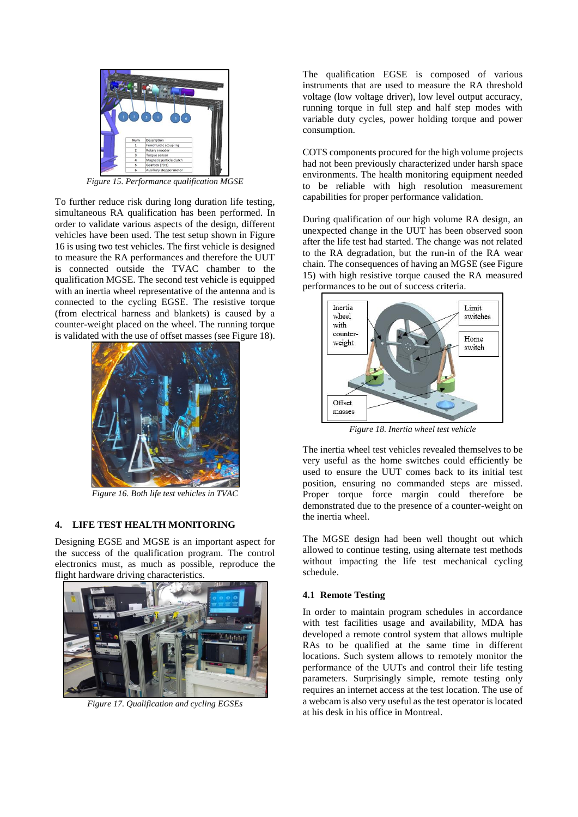

*Figure 15. Performance qualification MGSE*

<span id="page-6-0"></span>To further reduce risk during long duration life testing, simultaneous RA qualification has been performed. In order to validate various aspects of the design, different vehicles have been used. The test setup shown in [Figure](#page-6-1)  [16](#page-6-1) is using two test vehicles. The first vehicle is designed to measure the RA performances and therefore the UUT is connected outside the TVAC chamber to the qualification MGSE. The second test vehicle is equipped with an inertia wheel representative of the antenna and is connected to the cycling EGSE. The resistive torque (from electrical harness and blankets) is caused by a counter-weight placed on the wheel. The running torque is validated with the use of offset masses (see [Figure 18\)](#page-6-2).



*Figure 16. Both life test vehicles in TVAC*

## <span id="page-6-1"></span>**4. LIFE TEST HEALTH MONITORING**

Designing EGSE and MGSE is an important aspect for the success of the qualification program. The control electronics must, as much as possible, reproduce the flight hardware driving characteristics.



*Figure 17. Qualification and cycling EGSEs*

The qualification EGSE is composed of various instruments that are used to measure the RA threshold voltage (low voltage driver), low level output accuracy, running torque in full step and half step modes with variable duty cycles, power holding torque and power consumption.

COTS components procured for the high volume projects had not been previously characterized under harsh space environments. The health monitoring equipment needed to be reliable with high resolution measurement capabilities for proper performance validation.

During qualification of our high volume RA design, an unexpected change in the UUT has been observed soon after the life test had started. The change was not related to the RA degradation, but the run-in of the RA wear chain. The consequences of having an MGSE (se[e Figure](#page-6-0)  [15\)](#page-6-0) with high resistive torque caused the RA measured performances to be out of success criteria.



*Figure 18. Inertia wheel test vehicle*

<span id="page-6-2"></span>The inertia wheel test vehicles revealed themselves to be very useful as the home switches could efficiently be used to ensure the UUT comes back to its initial test position, ensuring no commanded steps are missed. Proper torque force margin could therefore be demonstrated due to the presence of a counter-weight on the inertia wheel.

The MGSE design had been well thought out which allowed to continue testing, using alternate test methods without impacting the life test mechanical cycling schedule.

#### **4.1 Remote Testing**

In order to maintain program schedules in accordance with test facilities usage and availability, MDA has developed a remote control system that allows multiple RAs to be qualified at the same time in different locations. Such system allows to remotely monitor the performance of the UUTs and control their life testing parameters. Surprisingly simple, remote testing only requires an internet access at the test location. The use of a webcam is also very useful as the test operator is located at his desk in his office in Montreal.